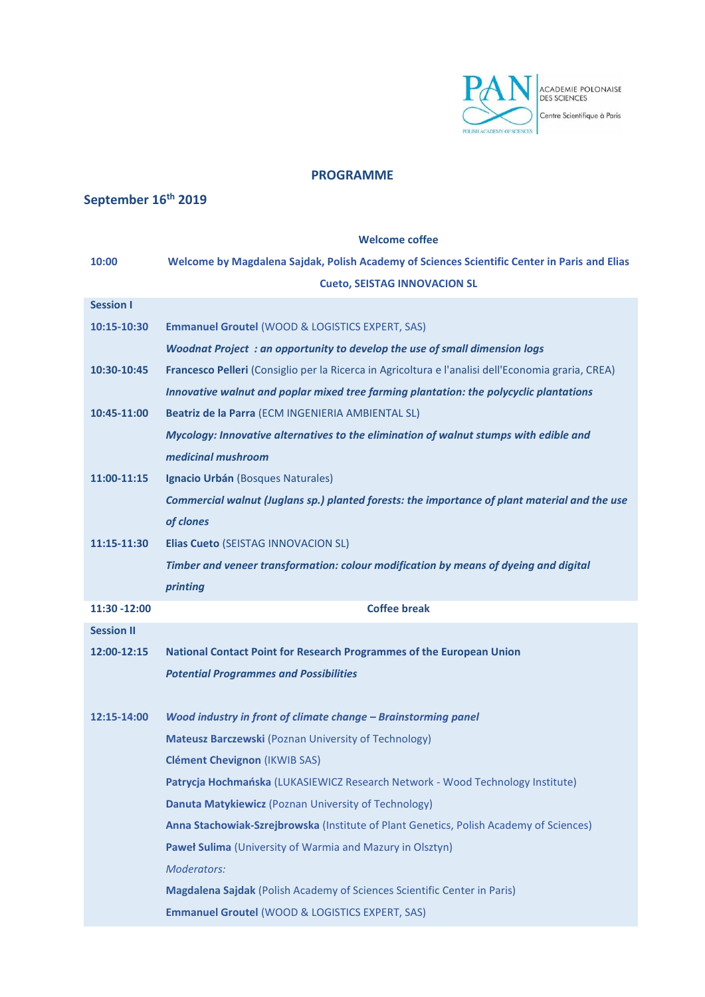

## **PROGRAMME**

## **September 16th 2019**

## **Welcome coffee 10:00 Welcome by Magdalena Sajdak, Polish Academy of Sciences Scientific Center in Paris and Elias Cueto, SEISTAG INNOVACION SL Session I 10:15-10:30 Emmanuel Groutel** (WOOD & LOGISTICS EXPERT, SAS) *Woodnat Project : an opportunity to develop the use of small dimension logs* **10:30-10:45 Francesco Pelleri** (Consiglio per la Ricerca in Agricoltura e l'analisi dell'Economia graria, CREA) *Innovative walnut and poplar mixed tree farming plantation: the polycyclic plantations* **10:45-11:00 Beatriz de la Parra** (ECM INGENIERIA AMBIENTAL SL) *Mycology: Innovative alternatives to the elimination of walnut stumps with edible and medicinal mushroom* **11:00-11:15 Ignacio Urbán** (Bosques Naturales) *Commercial walnut (Juglans sp.) planted forests: the importance of plant material and the use of clones* **11:15-11:30 Elias Cueto** (SEISTAG INNOVACION SL) *Timber and veneer transformation: colour modification by means of dyeing and digital printing* **11:30 -12:00 Coffee break Session II 12:00-12:15 National Contact Point for Research Programmes of the European Union** *Potential Programmes and Possibilities* **12:15-14:00** *Wood industry in front of climate change – Brainstorming panel* **Mateusz Barczewski** (Poznan University of Technology) **Clément Chevignon** (IKWIB SAS) **Patrycja Hochmańska** (LUKASIEWICZ Research Network - Wood Technology Institute) **Danuta Matykiewicz** (Poznan University of Technology) **Anna Stachowiak-Szrejbrowska** (Institute of Plant Genetics, Polish Academy of Sciences) **Paweł Sulima** (University of Warmia and Mazury in Olsztyn) *Moderators:* **Magdalena Sajdak** (Polish Academy of Sciences Scientific Center in Paris) **Emmanuel Groutel** (WOOD & LOGISTICS EXPERT, SAS)